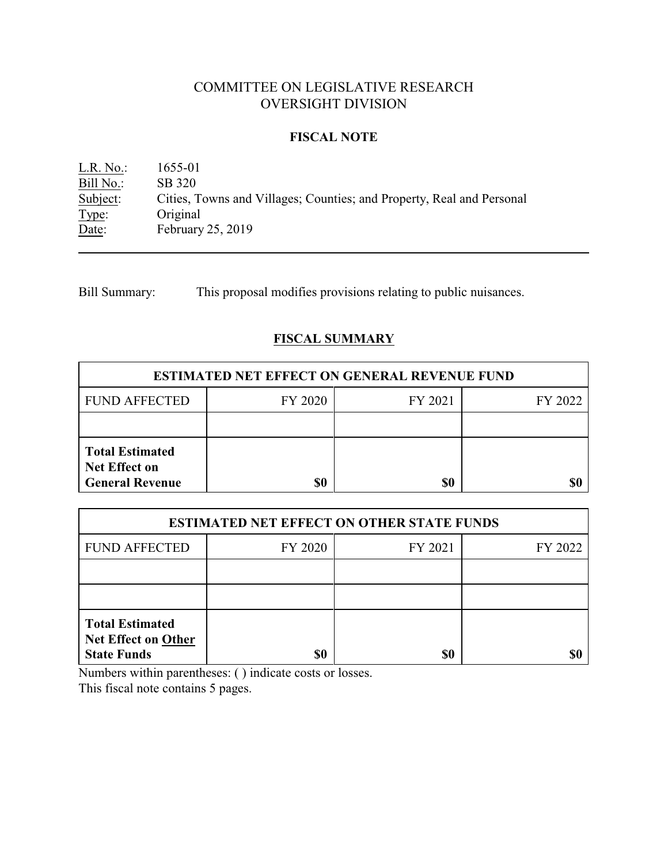# COMMITTEE ON LEGISLATIVE RESEARCH OVERSIGHT DIVISION

### **FISCAL NOTE**

L.R. No.: 1655-01 Bill No.: SB 320<br>Subject: Cities, T Cities, Towns and Villages; Counties; and Property, Real and Personal Type: Original<br>Date: February February 25, 2019

Bill Summary: This proposal modifies provisions relating to public nuisances.

# **FISCAL SUMMARY**

| <b>ESTIMATED NET EFFECT ON GENERAL REVENUE FUND</b>                      |         |         |         |  |
|--------------------------------------------------------------------------|---------|---------|---------|--|
| <b>FUND AFFECTED</b>                                                     | FY 2020 | FY 2021 | FY 2022 |  |
|                                                                          |         |         |         |  |
| <b>Total Estimated</b><br><b>Net Effect on</b><br><b>General Revenue</b> |         | \$0     |         |  |

| <b>ESTIMATED NET EFFECT ON OTHER STATE FUNDS</b>                           |         |         |         |  |
|----------------------------------------------------------------------------|---------|---------|---------|--|
| <b>FUND AFFECTED</b>                                                       | FY 2020 | FY 2021 | FY 2022 |  |
|                                                                            |         |         |         |  |
|                                                                            |         |         |         |  |
| <b>Total Estimated</b><br><b>Net Effect on Other</b><br><b>State Funds</b> | \$0     | \$0     |         |  |

Numbers within parentheses: ( ) indicate costs or losses.

This fiscal note contains 5 pages.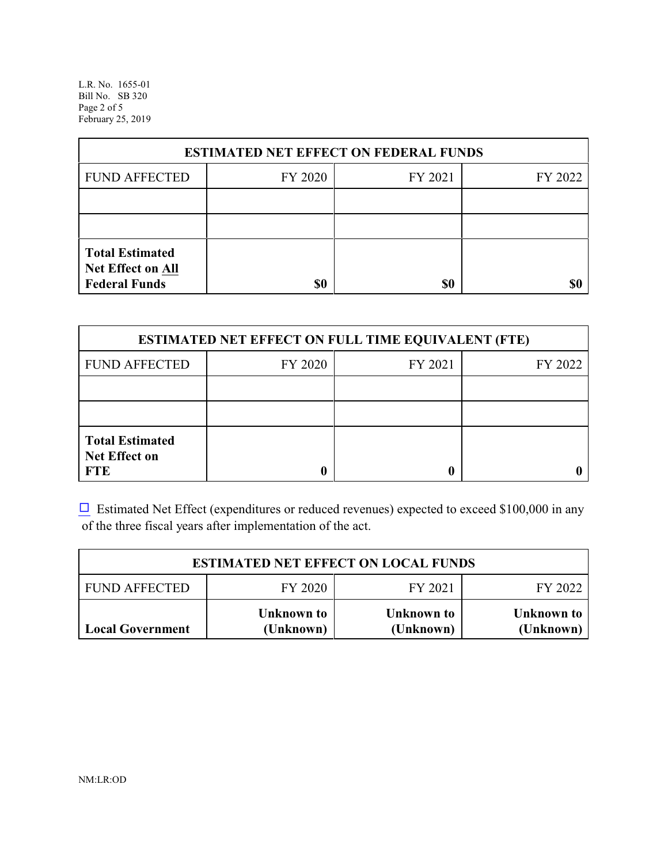L.R. No. 1655-01 Bill No. SB 320 Page 2 of 5 February 25, 2019

| <b>ESTIMATED NET EFFECT ON FEDERAL FUNDS</b>                        |         |         |         |  |
|---------------------------------------------------------------------|---------|---------|---------|--|
| <b>FUND AFFECTED</b>                                                | FY 2020 | FY 2021 | FY 2022 |  |
|                                                                     |         |         |         |  |
|                                                                     |         |         |         |  |
| <b>Total Estimated</b><br>Net Effect on All<br><b>Federal Funds</b> | \$0     | \$0     |         |  |

| <b>ESTIMATED NET EFFECT ON FULL TIME EQUIVALENT (FTE)</b>    |         |         |         |  |
|--------------------------------------------------------------|---------|---------|---------|--|
| <b>FUND AFFECTED</b>                                         | FY 2020 | FY 2021 | FY 2022 |  |
|                                                              |         |         |         |  |
|                                                              |         |         |         |  |
| <b>Total Estimated</b><br><b>Net Effect on</b><br><b>FTE</b> |         |         |         |  |

 $\Box$  Estimated Net Effect (expenditures or reduced revenues) expected to exceed \$100,000 in any of the three fiscal years after implementation of the act.

| <b>ESTIMATED NET EFFECT ON LOCAL FUNDS</b> |                                |                         |                         |  |
|--------------------------------------------|--------------------------------|-------------------------|-------------------------|--|
| <b>FUND AFFECTED</b>                       | FY 2020                        | FY 2021                 | FY 2022                 |  |
| <b>Local Government</b>                    | <b>Unknown to</b><br>(Unknown) | Unknown to<br>(Unknown) | Unknown to<br>(Unknown) |  |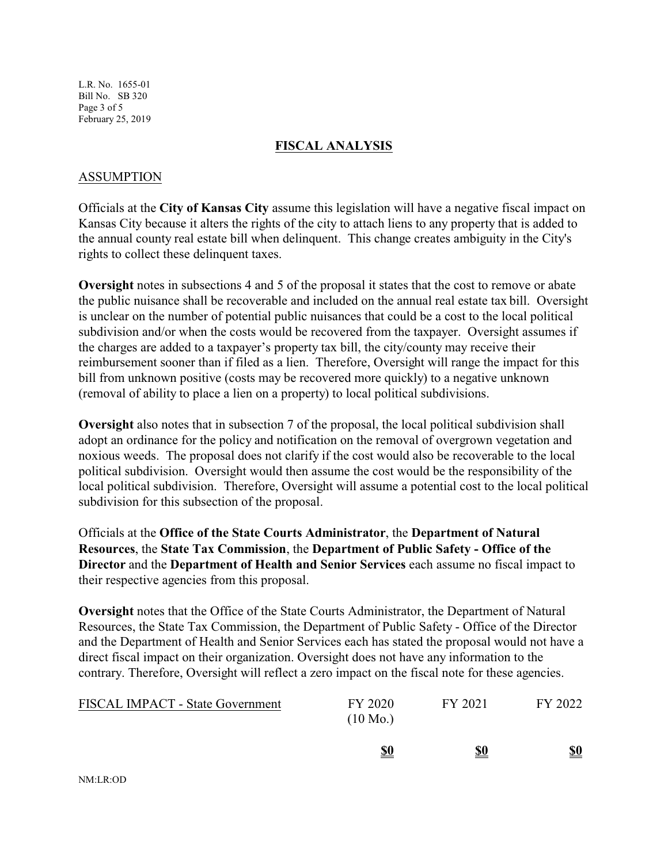L.R. No. 1655-01 Bill No. SB 320 Page 3 of 5 February 25, 2019

#### **FISCAL ANALYSIS**

### ASSUMPTION

Officials at the **City of Kansas City** assume this legislation will have a negative fiscal impact on Kansas City because it alters the rights of the city to attach liens to any property that is added to the annual county real estate bill when delinquent. This change creates ambiguity in the City's rights to collect these delinquent taxes.

**Oversight** notes in subsections 4 and 5 of the proposal it states that the cost to remove or abate the public nuisance shall be recoverable and included on the annual real estate tax bill. Oversight is unclear on the number of potential public nuisances that could be a cost to the local political subdivision and/or when the costs would be recovered from the taxpayer. Oversight assumes if the charges are added to a taxpayer's property tax bill, the city/county may receive their reimbursement sooner than if filed as a lien. Therefore, Oversight will range the impact for this bill from unknown positive (costs may be recovered more quickly) to a negative unknown (removal of ability to place a lien on a property) to local political subdivisions.

**Oversight** also notes that in subsection 7 of the proposal, the local political subdivision shall adopt an ordinance for the policy and notification on the removal of overgrown vegetation and noxious weeds. The proposal does not clarify if the cost would also be recoverable to the local political subdivision. Oversight would then assume the cost would be the responsibility of the local political subdivision. Therefore, Oversight will assume a potential cost to the local political subdivision for this subsection of the proposal.

Officials at the **Office of the State Courts Administrator**, the **Department of Natural Resources**, the **State Tax Commission**, the **Department of Public Safety - Office of the Director** and the **Department of Health and Senior Services** each assume no fiscal impact to their respective agencies from this proposal.

**Oversight** notes that the Office of the State Courts Administrator, the Department of Natural Resources, the State Tax Commission, the Department of Public Safety - Office of the Director and the Department of Health and Senior Services each has stated the proposal would not have a direct fiscal impact on their organization. Oversight does not have any information to the contrary. Therefore, Oversight will reflect a zero impact on the fiscal note for these agencies.

| <b>FISCAL IMPACT - State Government</b> | FY 2020            | FY 2021 | FY 2022 |
|-----------------------------------------|--------------------|---------|---------|
|                                         | $(10 \text{ Mo.})$ |         |         |

**\$0 \$0 \$0**

NM:LR:OD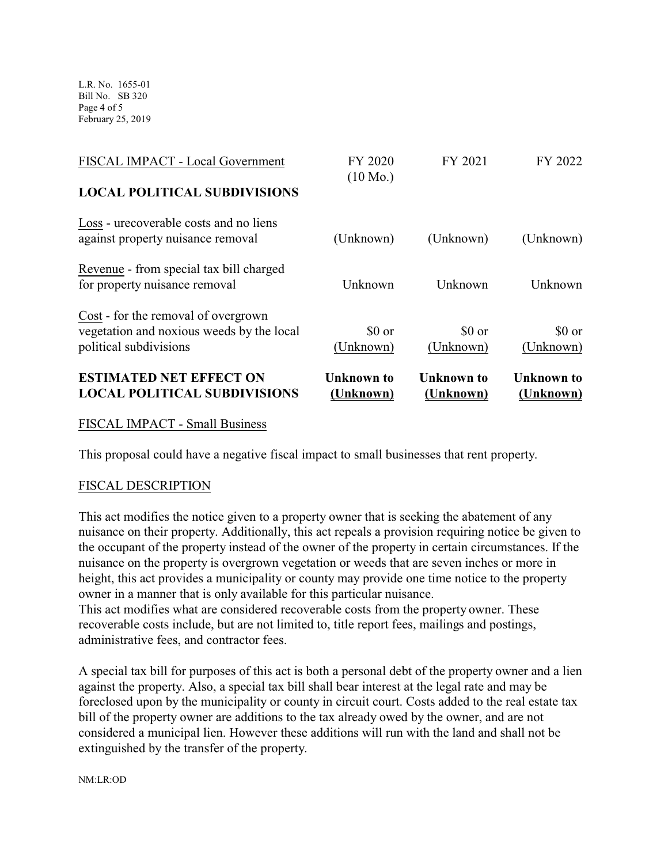L.R. No. 1655-01 Bill No. SB 320 Page 4 of 5 February 25, 2019

| <b>ESTIMATED NET EFFECT ON</b><br><b>LOCAL POLITICAL SUBDIVISIONS</b>                                      | <b>Unknown</b> to<br><u>(Unknown)</u> | Unknown to<br>(Unknown) | Unknown to<br>(Unknown) |
|------------------------------------------------------------------------------------------------------------|---------------------------------------|-------------------------|-------------------------|
| Cost - for the removal of overgrown<br>vegetation and noxious weeds by the local<br>political subdivisions | \$0 or<br>(Unknown)                   | \$0 or<br>(Unknown)     | \$0 or<br>(Unknown)     |
| Revenue - from special tax bill charged<br>for property nuisance removal                                   | Unknown                               | Unknown                 | Unknown                 |
| Loss - urecoverable costs and no liens<br>against property nuisance removal                                | (Unknown)                             | (Unknown)               | (Unknown)               |
| FISCAL IMPACT - Local Government<br><b>LOCAL POLITICAL SUBDIVISIONS</b>                                    | FY 2020<br>$(10 \text{ Mo.})$         | FY 2021                 | FY 2022                 |
|                                                                                                            |                                       |                         |                         |

## FISCAL IMPACT - Small Business

This proposal could have a negative fiscal impact to small businesses that rent property.

### FISCAL DESCRIPTION

This act modifies the notice given to a property owner that is seeking the abatement of any nuisance on their property. Additionally, this act repeals a provision requiring notice be given to the occupant of the property instead of the owner of the property in certain circumstances. If the nuisance on the property is overgrown vegetation or weeds that are seven inches or more in height, this act provides a municipality or county may provide one time notice to the property owner in a manner that is only available for this particular nuisance. This act modifies what are considered recoverable costs from the property owner. These recoverable costs include, but are not limited to, title report fees, mailings and postings, administrative fees, and contractor fees.

A special tax bill for purposes of this act is both a personal debt of the property owner and a lien against the property. Also, a special tax bill shall bear interest at the legal rate and may be foreclosed upon by the municipality or county in circuit court. Costs added to the real estate tax bill of the property owner are additions to the tax already owed by the owner, and are not considered a municipal lien. However these additions will run with the land and shall not be extinguished by the transfer of the property.